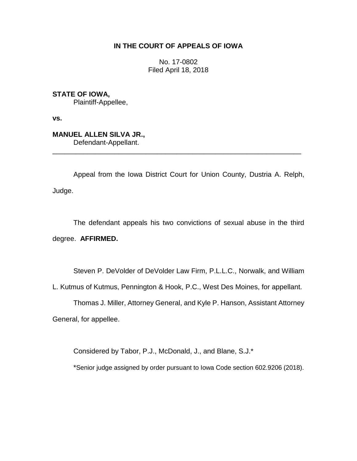# **IN THE COURT OF APPEALS OF IOWA**

No. 17-0802 Filed April 18, 2018

**STATE OF IOWA,**

Plaintiff-Appellee,

**vs.**

**MANUEL ALLEN SILVA JR.,**

Defendant-Appellant. \_\_\_\_\_\_\_\_\_\_\_\_\_\_\_\_\_\_\_\_\_\_\_\_\_\_\_\_\_\_\_\_\_\_\_\_\_\_\_\_\_\_\_\_\_\_\_\_\_\_\_\_\_\_\_\_\_\_\_\_\_\_\_\_

Appeal from the Iowa District Court for Union County, Dustria A. Relph, Judge.

The defendant appeals his two convictions of sexual abuse in the third degree. **AFFIRMED.**

Steven P. DeVolder of DeVolder Law Firm, P.L.L.C., Norwalk, and William L. Kutmus of Kutmus, Pennington & Hook, P.C., West Des Moines, for appellant.

Thomas J. Miller, Attorney General, and Kyle P. Hanson, Assistant Attorney General, for appellee.

Considered by Tabor, P.J., McDonald, J., and Blane, S.J.\*

\*Senior judge assigned by order pursuant to Iowa Code section 602.9206 (2018).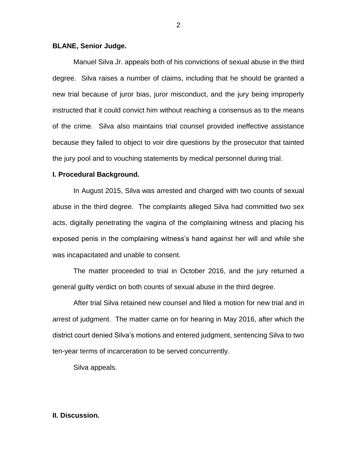## **BLANE, Senior Judge.**

Manuel Silva Jr. appeals both of his convictions of sexual abuse in the third degree. Silva raises a number of claims, including that he should be granted a new trial because of juror bias, juror misconduct, and the jury being improperly instructed that it could convict him without reaching a consensus as to the means of the crime. Silva also maintains trial counsel provided ineffective assistance because they failed to object to voir dire questions by the prosecutor that tainted the jury pool and to vouching statements by medical personnel during trial.

## **I. Procedural Background.**

In August 2015, Silva was arrested and charged with two counts of sexual abuse in the third degree. The complaints alleged Silva had committed two sex acts, digitally penetrating the vagina of the complaining witness and placing his exposed penis in the complaining witness's hand against her will and while she was incapacitated and unable to consent.

The matter proceeded to trial in October 2016, and the jury returned a general guilty verdict on both counts of sexual abuse in the third degree.

After trial Silva retained new counsel and filed a motion for new trial and in arrest of judgment. The matter came on for hearing in May 2016, after which the district court denied Silva's motions and entered judgment, sentencing Silva to two ten-year terms of incarceration to be served concurrently.

Silva appeals.

## **II. Discussion.**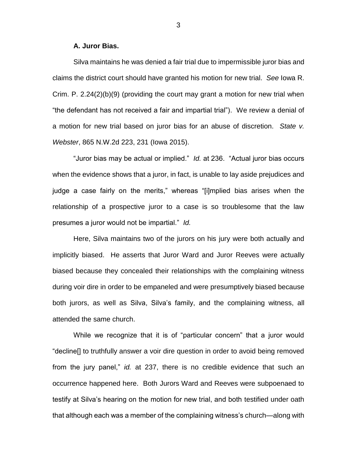## **A. Juror Bias.**

Silva maintains he was denied a fair trial due to impermissible juror bias and claims the district court should have granted his motion for new trial. *See* Iowa R. Crim. P. 2.24(2)(b)(9) (providing the court may grant a motion for new trial when "the defendant has not received a fair and impartial trial"). We review a denial of a motion for new trial based on juror bias for an abuse of discretion. *State v. Webster*, 865 N.W.2d 223, 231 (Iowa 2015).

"Juror bias may be actual or implied." *Id.* at 236. "Actual juror bias occurs when the evidence shows that a juror, in fact, is unable to lay aside prejudices and judge a case fairly on the merits," whereas "[i]mplied bias arises when the relationship of a prospective juror to a case is so troublesome that the law presumes a juror would not be impartial." *Id.* 

Here, Silva maintains two of the jurors on his jury were both actually and implicitly biased. He asserts that Juror Ward and Juror Reeves were actually biased because they concealed their relationships with the complaining witness during voir dire in order to be empaneled and were presumptively biased because both jurors, as well as Silva, Silva's family, and the complaining witness, all attended the same church.

While we recognize that it is of "particular concern" that a juror would "decline[] to truthfully answer a voir dire question in order to avoid being removed from the jury panel," *id.* at 237, there is no credible evidence that such an occurrence happened here. Both Jurors Ward and Reeves were subpoenaed to testify at Silva's hearing on the motion for new trial, and both testified under oath that although each was a member of the complaining witness's church—along with

3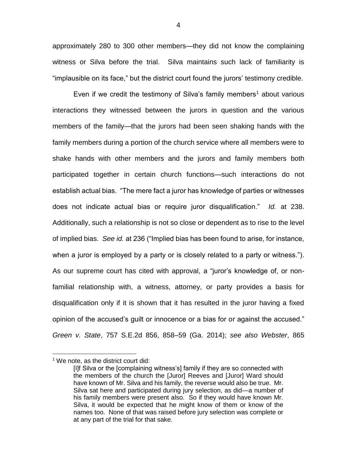approximately 280 to 300 other members—they did not know the complaining witness or Silva before the trial. Silva maintains such lack of familiarity is "implausible on its face," but the district court found the jurors' testimony credible.

Even if we credit the testimony of Silva's family members<sup>1</sup> about various interactions they witnessed between the jurors in question and the various members of the family—that the jurors had been seen shaking hands with the family members during a portion of the church service where all members were to shake hands with other members and the jurors and family members both participated together in certain church functions—such interactions do not establish actual bias. "The mere fact a juror has knowledge of parties or witnesses does not indicate actual bias or require juror disqualification." *Id.* at 238. Additionally, such a relationship is not so close or dependent as to rise to the level of implied bias. *See id.* at 236 ("Implied bias has been found to arise, for instance, when a juror is employed by a party or is closely related to a party or witness."). As our supreme court has cited with approval, a "juror's knowledge of, or nonfamilial relationship with, a witness, attorney, or party provides a basis for disqualification only if it is shown that it has resulted in the juror having a fixed opinion of the accused's guilt or innocence or a bias for or against the accused." *Green v. State*, 757 S.E.2d 856, 858–59 (Ga. 2014); *see also Webster*, 865

 $\overline{a}$ 

4

 $1$  We note, as the district court did:

<sup>[</sup>I]f Silva or the [complaining witness's] family if they are so connected with the members of the church the [Juror] Reeves and [Juror] Ward should have known of Mr. Silva and his family, the reverse would also be true. Mr. Silva sat here and participated during jury selection, as did—a number of his family members were present also. So if they would have known Mr. Silva, it would be expected that he might know of them or know of the names too. None of that was raised before jury selection was complete or at any part of the trial for that sake.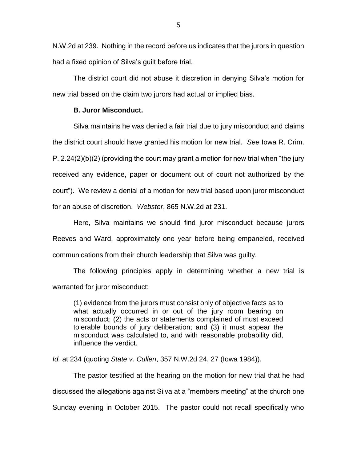N.W.2d at 239. Nothing in the record before us indicates that the jurors in question had a fixed opinion of Silva's guilt before trial.

The district court did not abuse it discretion in denying Silva's motion for new trial based on the claim two jurors had actual or implied bias.

## **B. Juror Misconduct.**

Silva maintains he was denied a fair trial due to jury misconduct and claims the district court should have granted his motion for new trial. *See* Iowa R. Crim. P.  $2.24(2)(b)(2)$  (providing the court may grant a motion for new trial when "the jury" received any evidence, paper or document out of court not authorized by the court"). We review a denial of a motion for new trial based upon juror misconduct for an abuse of discretion. *Webster*, 865 N.W.2d at 231.

Here, Silva maintains we should find juror misconduct because jurors Reeves and Ward, approximately one year before being empaneled, received communications from their church leadership that Silva was guilty.

The following principles apply in determining whether a new trial is warranted for juror misconduct:

(1) evidence from the jurors must consist only of objective facts as to what actually occurred in or out of the jury room bearing on misconduct; (2) the acts or statements complained of must exceed tolerable bounds of jury deliberation; and (3) it must appear the misconduct was calculated to, and with reasonable probability did, influence the verdict.

*Id.* at 234 (quoting *State v. Cullen*, 357 N.W.2d 24, 27 (Iowa 1984)).

The pastor testified at the hearing on the motion for new trial that he had discussed the allegations against Silva at a "members meeting" at the church one Sunday evening in October 2015. The pastor could not recall specifically who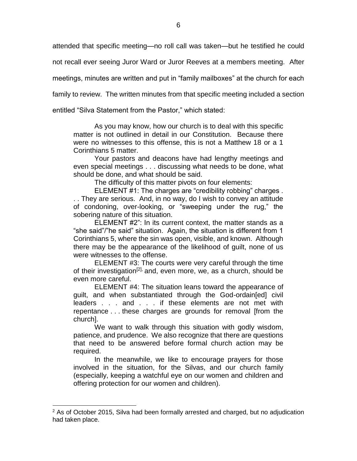attended that specific meeting—no roll call was taken—but he testified he could

not recall ever seeing Juror Ward or Juror Reeves at a members meeting. After

meetings, minutes are written and put in "family mailboxes" at the church for each

family to review. The written minutes from that specific meeting included a section

entitled "Silva Statement from the Pastor," which stated:

As you may know, how our church is to deal with this specific matter is not outlined in detail in our Constitution. Because there were no witnesses to this offense, this is not a Matthew 18 or a 1 Corinthians 5 matter.

Your pastors and deacons have had lengthy meetings and even special meetings . . . discussing what needs to be done, what should be done, and what should be said.

The difficulty of this matter pivots on four elements:

ELEMENT #1: The charges are "credibility robbing" charges . . . They are serious. And, in no way, do I wish to convey an attitude of condoning, over-looking, or "sweeping under the rug," the sobering nature of this situation.

ELEMENT #2": In its current context, the matter stands as a "she said"/"he said" situation. Again, the situation is different from 1 Corinthians 5, where the sin was open, visible, and known. Although there may be the appearance of the likelihood of guilt, none of us were witnesses to the offense.

ELEMENT #3: The courts were very careful through the time of their investigation<sup>[2],</sup> and, even more, we, as a church, should be even more careful.

ELEMENT #4: The situation leans toward the appearance of guilt, and when substantiated through the God-ordain[ed] civil leaders . . . and . . . if these elements are not met with repentance . . . these charges are grounds for removal [from the church].

We want to walk through this situation with godly wisdom, patience, and prudence. We also recognize that there are questions that need to be answered before formal church action may be required.

In the meanwhile, we like to encourage prayers for those involved in the situation, for the Silvas, and our church family (especially, keeping a watchful eye on our women and children and offering protection for our women and children).

 $\overline{a}$ 

 $2$  As of October 2015, Silva had been formally arrested and charged, but no adjudication had taken place.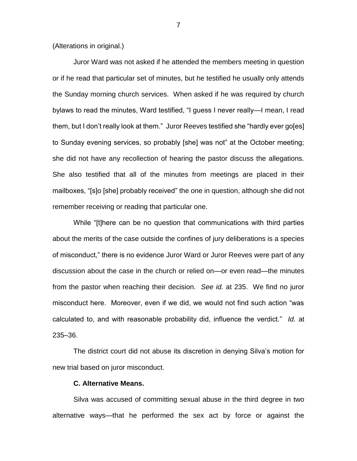(Alterations in original.)

Juror Ward was not asked if he attended the members meeting in question or if he read that particular set of minutes, but he testified he usually only attends the Sunday morning church services. When asked if he was required by church bylaws to read the minutes, Ward testified, "I guess I never really—I mean, I read them, but I don't really look at them." Juror Reeves testified she "hardly ever go[es] to Sunday evening services, so probably [she] was not" at the October meeting; she did not have any recollection of hearing the pastor discuss the allegations. She also testified that all of the minutes from meetings are placed in their mailboxes, "[s]o [she] probably received" the one in question, although she did not remember receiving or reading that particular one.

While "[t]here can be no question that communications with third parties about the merits of the case outside the confines of jury deliberations is a species of misconduct," there is no evidence Juror Ward or Juror Reeves were part of any discussion about the case in the church or relied on—or even read—the minutes from the pastor when reaching their decision. *See id.* at 235. We find no juror misconduct here. Moreover, even if we did, we would not find such action "was calculated to, and with reasonable probability did, influence the verdict." *Id.* at 235–36.

The district court did not abuse its discretion in denying Silva's motion for new trial based on juror misconduct.

## **C. Alternative Means.**

Silva was accused of committing sexual abuse in the third degree in two alternative ways—that he performed the sex act by force or against the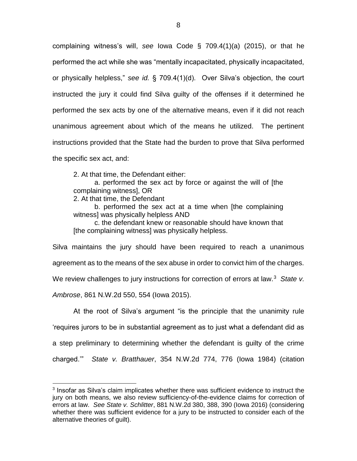complaining witness's will, *see* Iowa Code § 709.4(1)(a) (2015), or that he performed the act while she was "mentally incapacitated, physically incapacitated, or physically helpless," *see id.* § 709.4(1)(d). Over Silva's objection, the court instructed the jury it could find Silva guilty of the offenses if it determined he performed the sex acts by one of the alternative means, even if it did not reach unanimous agreement about which of the means he utilized. The pertinent instructions provided that the State had the burden to prove that Silva performed the specific sex act, and:

2. At that time, the Defendant either:

a. performed the sex act by force or against the will of [the complaining witness], OR

2. At that time, the Defendant

 $\overline{a}$ 

b. performed the sex act at a time when [the complaining witness] was physically helpless AND

c. the defendant knew or reasonable should have known that [the complaining witness] was physically helpless.

Silva maintains the jury should have been required to reach a unanimous agreement as to the means of the sex abuse in order to convict him of the charges. We review challenges to jury instructions for correction of errors at law.<sup>3</sup> State v. *Ambrose*, 861 N.W.2d 550, 554 (Iowa 2015).

At the root of Silva's argument "is the principle that the unanimity rule 'requires jurors to be in substantial agreement as to just what a defendant did as a step preliminary to determining whether the defendant is guilty of the crime charged.'" *State v. Bratthauer*, 354 N.W.2d 774, 776 (Iowa 1984) (citation

<sup>&</sup>lt;sup>3</sup> Insofar as Silva's claim implicates whether there was sufficient evidence to instruct the jury on both means, we also review sufficiency-of-the-evidence claims for correction of errors at law. *See State v. Schlitter*, 881 N.W.2d 380, 388, 390 (Iowa 2016) (considering whether there was sufficient evidence for a jury to be instructed to consider each of the alternative theories of guilt).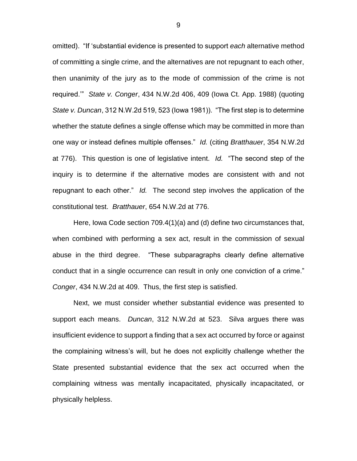omitted). "If 'substantial evidence is presented to support *each* alternative method of committing a single crime, and the alternatives are not repugnant to each other, then unanimity of the jury as to the mode of commission of the crime is not required.'" *State v. Conger*, 434 N.W.2d 406, 409 (Iowa Ct. App. 1988) (quoting *State v. Duncan*, 312 N.W.2d 519, 523 (Iowa 1981)). "The first step is to determine whether the statute defines a single offense which may be committed in more than one way or instead defines multiple offenses." *Id.* (citing *Bratthauer*, 354 N.W.2d at 776). This question is one of legislative intent. *Id.* "The second step of the inquiry is to determine if the alternative modes are consistent with and not repugnant to each other." *Id.* The second step involves the application of the constitutional test. *Bratthauer*, 654 N.W.2d at 776.

Here, Iowa Code section 709.4(1)(a) and (d) define two circumstances that, when combined with performing a sex act, result in the commission of sexual abuse in the third degree. "These subparagraphs clearly define alternative conduct that in a single occurrence can result in only one conviction of a crime." *Conger*, 434 N.W.2d at 409. Thus, the first step is satisfied.

Next, we must consider whether substantial evidence was presented to support each means. *Duncan*, 312 N.W.2d at 523. Silva argues there was insufficient evidence to support a finding that a sex act occurred by force or against the complaining witness's will, but he does not explicitly challenge whether the State presented substantial evidence that the sex act occurred when the complaining witness was mentally incapacitated, physically incapacitated, or physically helpless.

9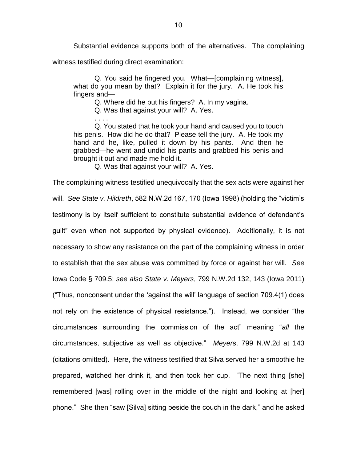Substantial evidence supports both of the alternatives. The complaining

witness testified during direct examination:

. . . .

Q. You said he fingered you. What—[complaining witness], what do you mean by that? Explain it for the jury. A. He took his fingers and—

Q. Where did he put his fingers? A. In my vagina.

Q. Was that against your will? A. Yes.

Q. You stated that he took your hand and caused you to touch his penis. How did he do that? Please tell the jury. A. He took my hand and he, like, pulled it down by his pants. And then he grabbed—he went and undid his pants and grabbed his penis and brought it out and made me hold it.

Q. Was that against your will? A. Yes.

The complaining witness testified unequivocally that the sex acts were against her will. *See State v. Hildreth*, 582 N.W.2d 167, 170 (Iowa 1998) (holding the "victim's testimony is by itself sufficient to constitute substantial evidence of defendant's guilt" even when not supported by physical evidence). Additionally, it is not necessary to show any resistance on the part of the complaining witness in order to establish that the sex abuse was committed by force or against her will. *See*  Iowa Code § 709.5; *see also State v. Meyers*, 799 N.W.2d 132, 143 (Iowa 2011) ("Thus, nonconsent under the 'against the will' language of section 709.4(1) does not rely on the existence of physical resistance."). Instead, we consider "the circumstances surrounding the commission of the act" meaning "*all* the circumstances, subjective as well as objective." *Meyer*s, 799 N.W.2d at 143 (citations omitted). Here, the witness testified that Silva served her a smoothie he prepared, watched her drink it, and then took her cup. "The next thing [she] remembered [was] rolling over in the middle of the night and looking at [her] phone." She then "saw [Silva] sitting beside the couch in the dark," and he asked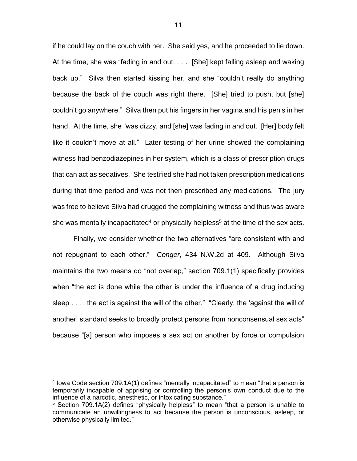if he could lay on the couch with her. She said yes, and he proceeded to lie down. At the time, she was "fading in and out. . . . [She] kept falling asleep and waking back up." Silva then started kissing her, and she "couldn't really do anything because the back of the couch was right there. [She] tried to push, but [she] couldn't go anywhere." Silva then put his fingers in her vagina and his penis in her hand. At the time, she "was dizzy, and [she] was fading in and out. [Her] body felt like it couldn't move at all." Later testing of her urine showed the complaining witness had benzodiazepines in her system, which is a class of prescription drugs that can act as sedatives. She testified she had not taken prescription medications during that time period and was not then prescribed any medications. The jury was free to believe Silva had drugged the complaining witness and thus was aware she was mentally incapacitated<sup>4</sup> or physically helpless<sup>5</sup> at the time of the sex acts.

Finally, we consider whether the two alternatives "are consistent with and not repugnant to each other." *Conger*, 434 N.W.2d at 409. Although Silva maintains the two means do "not overlap," section 709.1(1) specifically provides when "the act is done while the other is under the influence of a drug inducing sleep . . . , the act is against the will of the other." "Clearly, the 'against the will of another' standard seeks to broadly protect persons from nonconsensual sex acts" because "[a] person who imposes a sex act on another by force or compulsion

 $\overline{a}$ 

<sup>&</sup>lt;sup>4</sup> lowa Code section 709.1A(1) defines "mentally incapacitated" to mean "that a person is temporarily incapable of apprising or controlling the person's own conduct due to the influence of a narcotic, anesthetic, or intoxicating substance."

<sup>&</sup>lt;sup>5</sup> Section 709.1A(2) defines "physically helpless" to mean "that a person is unable to communicate an unwillingness to act because the person is unconscious, asleep, or otherwise physically limited."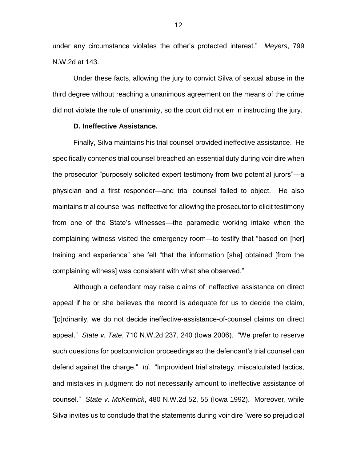under any circumstance violates the other's protected interest." *Meyers*, 799 N.W.2d at 143.

Under these facts, allowing the jury to convict Silva of sexual abuse in the third degree without reaching a unanimous agreement on the means of the crime did not violate the rule of unanimity, so the court did not err in instructing the jury.

## **D. Ineffective Assistance.**

Finally, Silva maintains his trial counsel provided ineffective assistance. He specifically contends trial counsel breached an essential duty during voir dire when the prosecutor "purposely solicited expert testimony from two potential jurors"—a physician and a first responder—and trial counsel failed to object. He also maintains trial counsel was ineffective for allowing the prosecutor to elicit testimony from one of the State's witnesses—the paramedic working intake when the complaining witness visited the emergency room—to testify that "based on [her] training and experience" she felt "that the information [she] obtained [from the complaining witness] was consistent with what she observed."

Although a defendant may raise claims of ineffective assistance on direct appeal if he or she believes the record is adequate for us to decide the claim, "[o]rdinarily, we do not decide ineffective-assistance-of-counsel claims on direct appeal." *State v. Tate*, 710 N.W.2d 237, 240 (Iowa 2006). "We prefer to reserve such questions for postconviction proceedings so the defendant's trial counsel can defend against the charge." *Id.* "Improvident trial strategy, miscalculated tactics, and mistakes in judgment do not necessarily amount to ineffective assistance of counsel." *State v. McKettrick*, 480 N.W.2d 52, 55 (Iowa 1992). Moreover, while Silva invites us to conclude that the statements during voir dire "were so prejudicial